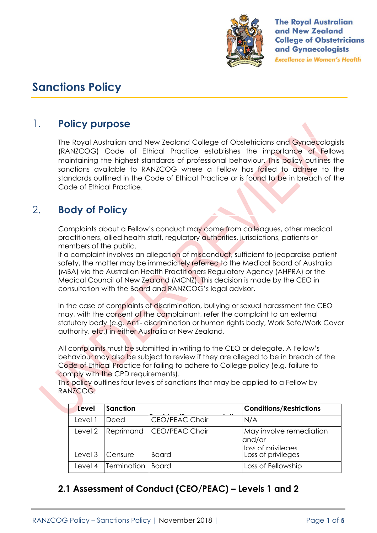

**The Royal Australian** and New Zealand **College of Obstetricians** and Gynaecologists **Excellence in Women's Health** 

# **Sanctions Policy**

# 1. **Policy purpose**

The Royal Australian and New Zealand College of Obstetricians and Gynaecologists (RANZCOG) Code of Ethical Practice establishes the importance of Fellows maintaining the highest standards of professional behaviour. This policy outlines the sanctions available to RANZCOG where a Fellow has failed to adhere to the standards outlined in the Code of Ethical Practice or is found to be in breach of the Code of Ethical Practice.

# 2. **Body of Policy**

Complaints about a Fellow's conduct may come from colleagues, other medical practitioners, allied health staff, regulatory authorities, jurisdictions, patients or members of the public.

If a complaint involves an allegation of misconduct, sufficient to jeopardise patient safety, the matter may be immediately referred to the Medical Board of Australia (MBA) via the Australian Health Practitioners Regulatory Agency (AHPRA) or the Medical Council of New Zealand (MCNZ). This decision is made by the CEO in consultation with the Board and RANZCOG's legal advisor.

In the case of complaints of discrimination, bullying or sexual harassment the CEO may, with the consent of the complainant, refer the complaint to an external statutory body (e.g. Anti- discrimination or human rights body, Work Safe/Work Cover authority, etc.) in either Australia or New Zealand.

All complaints must be submitted in writing to the CEO or delegate. A Fellow's behaviour may also be subject to review if they are alleged to be in breach of the Code of Ethical Practice for failing to adhere to College policy (e.g. failure to comply with the CPD requirements).

This policy outlines four levels of sanctions that may be applied to a Fellow by RANZCOG:

| Level   | Sanction    |                       | <b>Conditions/Restrictions</b>                          |
|---------|-------------|-----------------------|---------------------------------------------------------|
| Level   | Deed        | <b>CEO/PEAC Chair</b> | N/A                                                     |
| Level 2 | Reprimand   | CEO/PEAC Chair        | May involve remediation<br>and/or<br>loss of privileges |
| Level 3 | Censure     | Board                 | Loss of privileges                                      |
| Level 4 | Termination | <b>Board</b>          | Loss of Fellowship                                      |

## **2.1 Assessment of Conduct (CEO/PEAC) – Levels 1 and 2**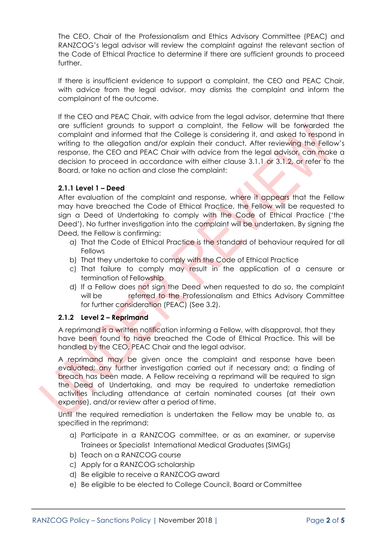The CEO, Chair of the Professionalism and Ethics Advisory Committee (PEAC) and RANZCOG's legal advisor will review the complaint against the relevant section of the Code of Ethical Practice to determine if there are sufficient grounds to proceed further.

If there is insufficient evidence to support a complaint, the CEO and PEAC Chair, with advice from the legal advisor, may dismiss the complaint and inform the complainant of the outcome.

If the CEO and PEAC Chair, with advice from the legal advisor, determine that there are sufficient grounds to support a complaint, the Fellow will be forwarded the complaint and informed that the College is considering it, and asked to respond in writing to the allegation and/or explain their conduct. After reviewing the Fellow's response, the CEO and PEAC Chair with advice from the legal advisor, can make a decision to proceed in accordance with either clause 3.1.1 or 3.1.2, or refer to the Board, or take no action and close the complaint:

#### **2.1.1 Level 1 – Deed**

After evaluation of the complaint and response, where it appears that the Fellow may have breached the Code of Ethical Practice, the Fellow will be requested to sign a Deed of Undertaking to comply with the Code of Ethical Practice ('the Deed'). No further investigation into the complaint will be undertaken. By signing the Deed, the Fellow is confirming:

- a) That the Code of Ethical Practice is the standard of behaviour required for all Fellows
- b) That they undertake to comply with the Code of Ethical Practice
- c) That failure to comply may result in the application of a censure or termination of Fellowship
- d) If a Fellow does not sign the Deed when requested to do so, the complaint will be referred to the Professionalism and Ethics Advisory Committee for further consideration (PEAC) (See 3.2).

#### **2.1.2 Level 2 – Reprimand**

A reprimand is a written notification informing a Fellow, with disapproval, that they have been found to have breached the Code of Ethical Practice. This will be handled by the CEO, PEAC Chair and the legal advisor.

A reprimand may be given once the complaint and response have been evaluated; any further investigation carried out if necessary and; a finding of breach has been made. A Fellow receiving a reprimand will be required to sign the Deed of Undertaking, and may be required to undertake remediation activities including attendance at certain nominated courses (at their own expense), and/or review after a period of time.

Until the required remediation is undertaken the Fellow may be unable to, as specified in the reprimand:

- a) Participate in a RANZCOG committee, or as an examiner, or supervise Trainees or Specialist International Medical Graduates(SIMGs)
- b) Teach on a RANZCOG course
- c) Apply for a RANZCOG scholarship
- d) Be eligible to receive a RANZCOG award
- e) Be eligible to be elected to College Council, Board or Committee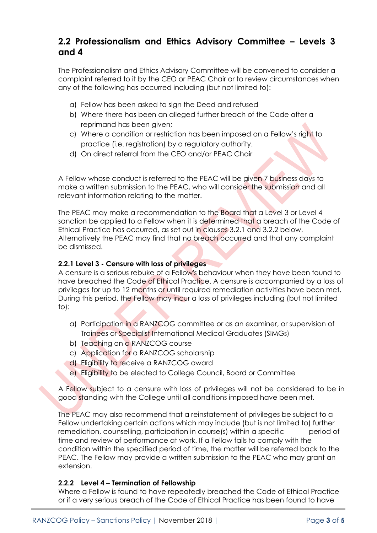### **2.2 Professionalism and Ethics Advisory Committee – Levels 3 and 4**

The Professionalism and Ethics Advisory Committee will be convened to consider a complaint referred to it by the CEO or PEAC Chair or to review circumstances when any of the following has occurred including (but not limited to):

- a) Fellow has been asked to sign the Deed and refused
- b) Where there has been an alleged further breach of the Code after a reprimand has been given;
- c) Where a condition or restriction has been imposed on a Fellow's right to practice (i.e. registration) by a regulatory authority.
- d) On direct referral from the CEO and/or PEAC Chair

A Fellow whose conduct is referred to the PEAC will be given 7 business days to make a written submission to the PEAC, who will consider the submission and all relevant information relating to the matter.

The PEAC may make a recommendation to the Board that a Level 3 or Level 4 sanction be applied to a Fellow when it is determined that a breach of the Code of Ethical Practice has occurred, as set out in clauses 3.2.1 and 3.2.2 below. Alternatively the PEAC may find that no breach occurred and that any complaint be dismissed.

#### **2.2.1 Level 3 - Censure with loss of privileges**

A censure is a serious rebuke of a Fellow's behaviour when they have been found to have breached the Code of Ethical Practice. A censure is accompanied by a loss of privileges for up to 12 months or until required remediation activities have been met. During this period, the Fellow may incur a loss of privileges including (but not limited to):

- a) Participation in a RANZCOG committee or as an examiner, or supervision of Trainees or Specialist International Medical Graduates (SIMGs)
- b) Teaching on a RANZCOG course
- c) Application for a RANZCOG scholarship
- d) Eligibility to receive a RANZCOG award
- e) Eligibility to be elected to College Council, Board or Committee

A Fellow subject to a censure with loss of privileges will not be considered to be in good standing with the College until all conditions imposed have been met.

The PEAC may also recommend that a reinstatement of privileges be subject to a Fellow undertaking certain actions which may include (but is not limited to) further remediation, counselling, participation in course(s) within a specific period of time and review of performance at work. If a Fellow fails to comply with the condition within the specified period of time, the matter will be referred back to the PEAC. The Fellow may provide a written submission to the PEAC who may grant an extension.

#### **2.2.2 Level 4 – Termination of Fellowship**

Where a Fellow is found to have repeatedly breached the Code of Ethical Practice or if a very serious breach of the Code of Ethical Practice has been found to have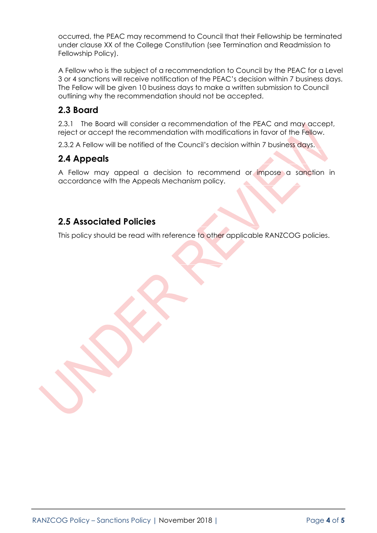occurred, the PEAC may recommend to Council that their Fellowship be terminated under clause XX of the College Constitution (see Termination and Readmission to Fellowship Policy).

A Fellow who is the subject of a recommendation to Council by the PEAC for a Level 3 or 4 sanctions will receive notification of the PEAC's decision within 7 business days. The Fellow will be given 10 business days to make a written submission to Council outlining why the recommendation should not be accepted.

### **2.3 Board**

2.3.1 The Board will consider a recommendation of the PEAC and may accept, reject or accept the recommendation with modifications in favor of the Fellow.

2.3.2 A Fellow will be notified of the Council's decision within 7 business days.

### **2.4 Appeals**

A Fellow may appeal a decision to recommend or impose a sanction in accordance with the Appeals Mechanism policy.

### **2.5 Associated Policies**

This policy should be read with reference to other applicable RANZCOG policies.